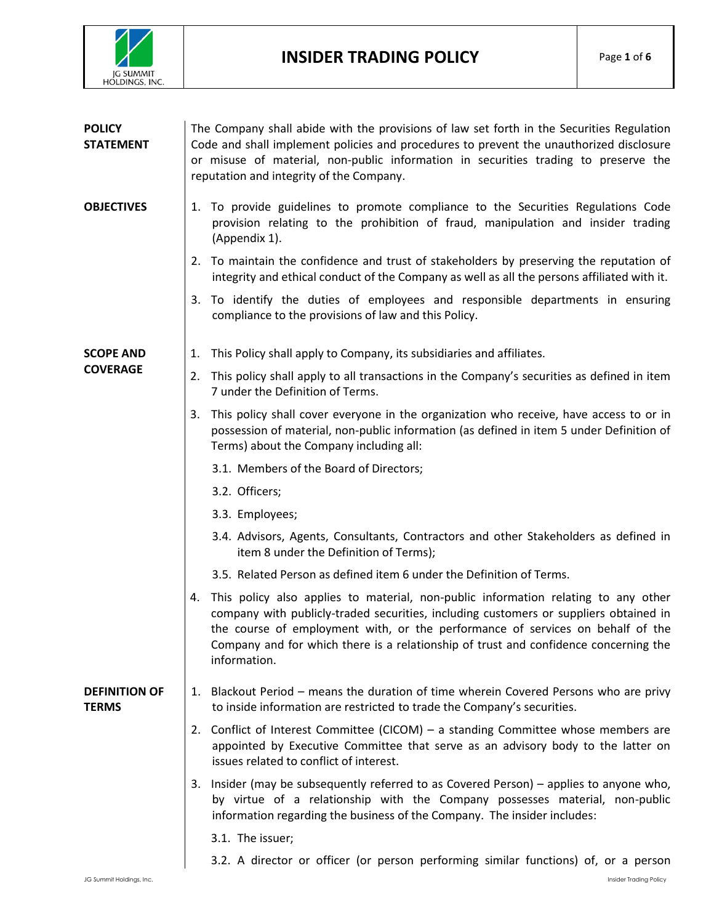

| <b>POLICY</b><br><b>STATEMENT</b>    | The Company shall abide with the provisions of law set forth in the Securities Regulation<br>Code and shall implement policies and procedures to prevent the unauthorized disclosure<br>or misuse of material, non-public information in securities trading to preserve the<br>reputation and integrity of the Company.                                                     |
|--------------------------------------|-----------------------------------------------------------------------------------------------------------------------------------------------------------------------------------------------------------------------------------------------------------------------------------------------------------------------------------------------------------------------------|
| <b>OBJECTIVES</b>                    | 1. To provide guidelines to promote compliance to the Securities Regulations Code<br>provision relating to the prohibition of fraud, manipulation and insider trading<br>(Appendix 1).                                                                                                                                                                                      |
|                                      | 2. To maintain the confidence and trust of stakeholders by preserving the reputation of<br>integrity and ethical conduct of the Company as well as all the persons affiliated with it.                                                                                                                                                                                      |
|                                      | 3. To identify the duties of employees and responsible departments in ensuring<br>compliance to the provisions of law and this Policy.                                                                                                                                                                                                                                      |
| <b>SCOPE AND</b><br><b>COVERAGE</b>  | This Policy shall apply to Company, its subsidiaries and affiliates.<br>1.                                                                                                                                                                                                                                                                                                  |
|                                      | This policy shall apply to all transactions in the Company's securities as defined in item<br>2.<br>7 under the Definition of Terms.                                                                                                                                                                                                                                        |
|                                      | This policy shall cover everyone in the organization who receive, have access to or in<br>3.<br>possession of material, non-public information (as defined in item 5 under Definition of<br>Terms) about the Company including all:                                                                                                                                         |
|                                      | 3.1. Members of the Board of Directors;                                                                                                                                                                                                                                                                                                                                     |
|                                      | 3.2. Officers;                                                                                                                                                                                                                                                                                                                                                              |
|                                      | 3.3. Employees;                                                                                                                                                                                                                                                                                                                                                             |
|                                      | 3.4. Advisors, Agents, Consultants, Contractors and other Stakeholders as defined in<br>item 8 under the Definition of Terms);                                                                                                                                                                                                                                              |
|                                      | 3.5. Related Person as defined item 6 under the Definition of Terms.                                                                                                                                                                                                                                                                                                        |
|                                      | This policy also applies to material, non-public information relating to any other<br>4.<br>company with publicly-traded securities, including customers or suppliers obtained in<br>the course of employment with, or the performance of services on behalf of the<br>Company and for which there is a relationship of trust and confidence concerning the<br>information. |
| <b>DEFINITION OF</b><br><b>TERMS</b> | 1. Blackout Period – means the duration of time wherein Covered Persons who are privy<br>to inside information are restricted to trade the Company's securities.                                                                                                                                                                                                            |
|                                      | 2. Conflict of Interest Committee (CICOM) – a standing Committee whose members are<br>appointed by Executive Committee that serve as an advisory body to the latter on<br>issues related to conflict of interest.                                                                                                                                                           |
|                                      | 3. Insider (may be subsequently referred to as Covered Person) – applies to anyone who,<br>by virtue of a relationship with the Company possesses material, non-public<br>information regarding the business of the Company. The insider includes:                                                                                                                          |
|                                      | 3.1. The issuer;                                                                                                                                                                                                                                                                                                                                                            |
|                                      | 3.2. A director or officer (or person performing similar functions) of, or a person                                                                                                                                                                                                                                                                                         |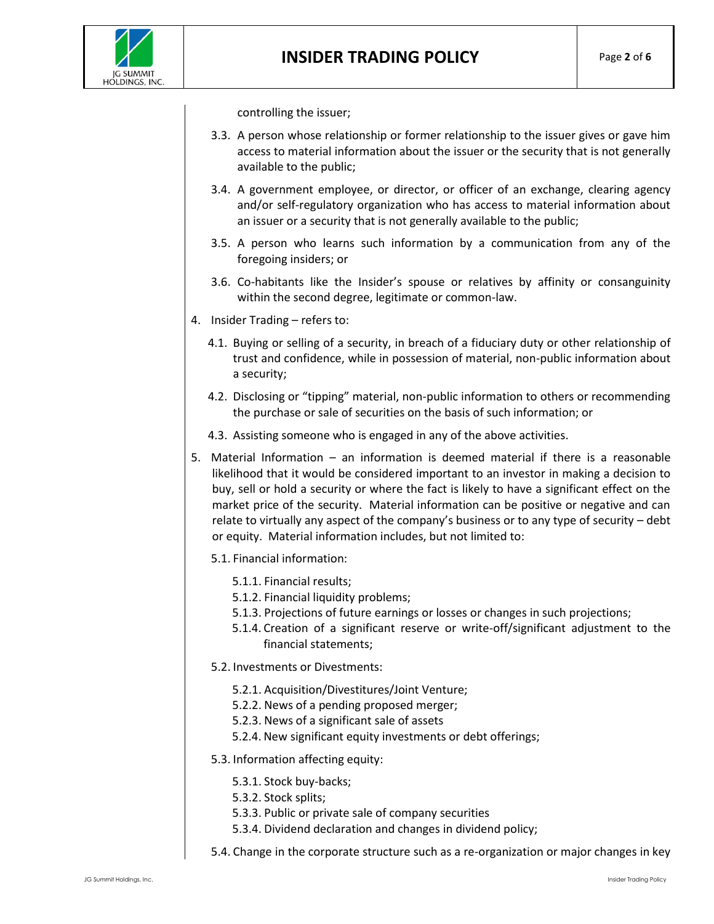controlling the issuer;

- 3.3. A person whose relationship or former relationship to the issuer gives or gave him access to material information about the issuer or the security that is not generally available to the public;
- 3.4. A government employee, or director, or officer of an exchange, clearing agency and/or self-regulatory organization who has access to material information about an issuer or a security that is not generally available to the public;
- 3.5. A person who learns such information by a communication from any of the foregoing insiders; or
- 3.6. Co-habitants like the Insider's spouse or relatives by affinity or consanguinity within the second degree, legitimate or common-law.
- 4. Insider Trading refers to:
	- 4.1. Buying or selling of a security, in breach of a fiduciary duty or other relationship of trust and confidence, while in possession of material, non-public information about a security;
	- 4.2. Disclosing or "tipping" material, non-public information to others or recommending the purchase or sale of securities on the basis of such information; or
	- 4.3. Assisting someone who is engaged in any of the above activities.
- 5. Material Information an information is deemed material if there is a reasonable likelihood that it would be considered important to an investor in making a decision to buy, sell or hold a security or where the fact is likely to have a significant effect on the market price of the security. Material information can be positive or negative and can relate to virtually any aspect of the company's business or to any type of security – debt or equity. Material information includes, but not limited to:
	- 5.1. Financial information:
		- 5.1.1. Financial results;
		- 5.1.2. Financial liquidity problems;
		- 5.1.3. Projections of future earnings or losses or changes in such projections;
		- 5.1.4. Creation of a significant reserve or write-off/significant adjustment to the financial statements;
	- 5.2. Investments or Divestments:
		- 5.2.1. Acquisition/Divestitures/Joint Venture;
		- 5.2.2. News of a pending proposed merger;
		- 5.2.3. News of a significant sale of assets
		- 5.2.4. New significant equity investments or debt offerings;
	- 5.3. Information affecting equity:
		- 5.3.1. Stock buy-backs;
		- 5.3.2. Stock splits;
		- 5.3.3. Public or private sale of company securities
		- 5.3.4. Dividend declaration and changes in dividend policy;
	- 5.4. Change in the corporate structure such as a re-organization or major changes in key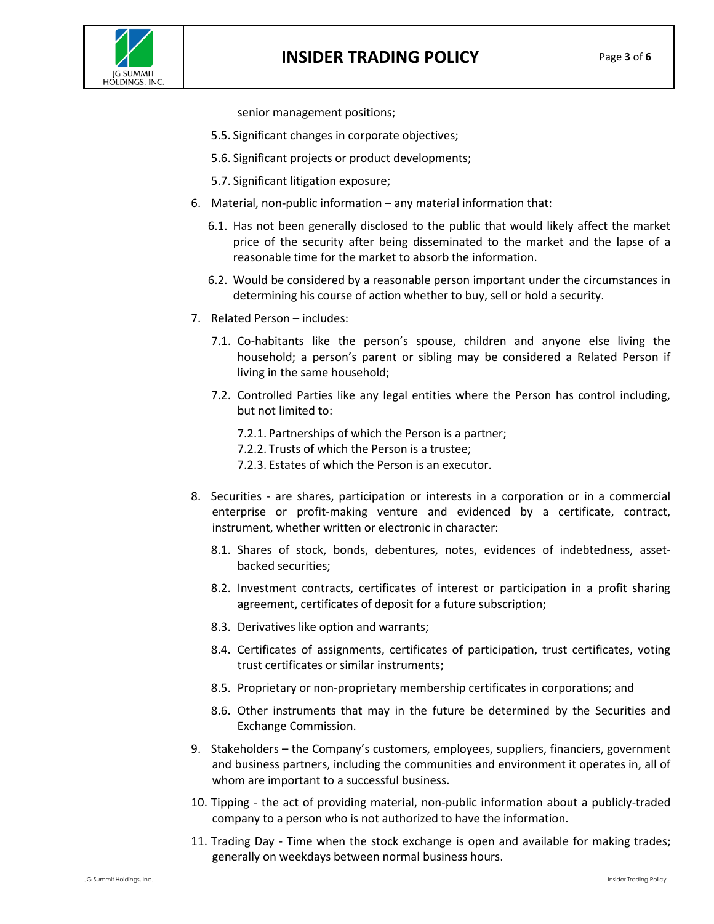senior management positions;

- 5.5. Significant changes in corporate objectives;
- 5.6. Significant projects or product developments;
- 5.7. Significant litigation exposure;
- 6. Material, non-public information any material information that:
	- 6.1. Has not been generally disclosed to the public that would likely affect the market price of the security after being disseminated to the market and the lapse of a reasonable time for the market to absorb the information.
	- 6.2. Would be considered by a reasonable person important under the circumstances in determining his course of action whether to buy, sell or hold a security.
- 7. Related Person includes:
	- 7.1. Co-habitants like the person's spouse, children and anyone else living the household; a person's parent or sibling may be considered a Related Person if living in the same household;
	- 7.2. Controlled Parties like any legal entities where the Person has control including, but not limited to:
		- 7.2.1. Partnerships of which the Person is a partner;
		- 7.2.2. Trusts of which the Person is a trustee;
		- 7.2.3. Estates of which the Person is an executor.
- 8. Securities are shares, participation or interests in a corporation or in a commercial enterprise or profit-making venture and evidenced by a certificate, contract, instrument, whether written or electronic in character:
	- 8.1. Shares of stock, bonds, debentures, notes, evidences of indebtedness, assetbacked securities;
	- 8.2. Investment contracts, certificates of interest or participation in a profit sharing agreement, certificates of deposit for a future subscription;
	- 8.3. Derivatives like option and warrants;
	- 8.4. Certificates of assignments, certificates of participation, trust certificates, voting trust certificates or similar instruments;
	- 8.5. Proprietary or non-proprietary membership certificates in corporations; and
	- 8.6. Other instruments that may in the future be determined by the Securities and Exchange Commission.
- 9. Stakeholders the Company's customers, employees, suppliers, financiers, government and business partners, including the communities and environment it operates in, all of whom are important to a successful business.
- 10. Tipping the act of providing material, non-public information about a publicly-traded company to a person who is not authorized to have the information.
- 11. Trading Day Time when the stock [exchange](http://www.investorwords.com/4733/stock_exchange.html) is [open](http://www.investorwords.com/3432/open.html) and [available](http://www.investorwords.com/8894/available.html) for [making](http://www.investorwords.com/2925/maker.html) [trades;](http://www.investorwords.com/5014/trade.html) generally on weekdays between norma[l business](http://www.investorwords.com/623/business.html) [hours.](http://www.investorwords.com/9966/hour.html)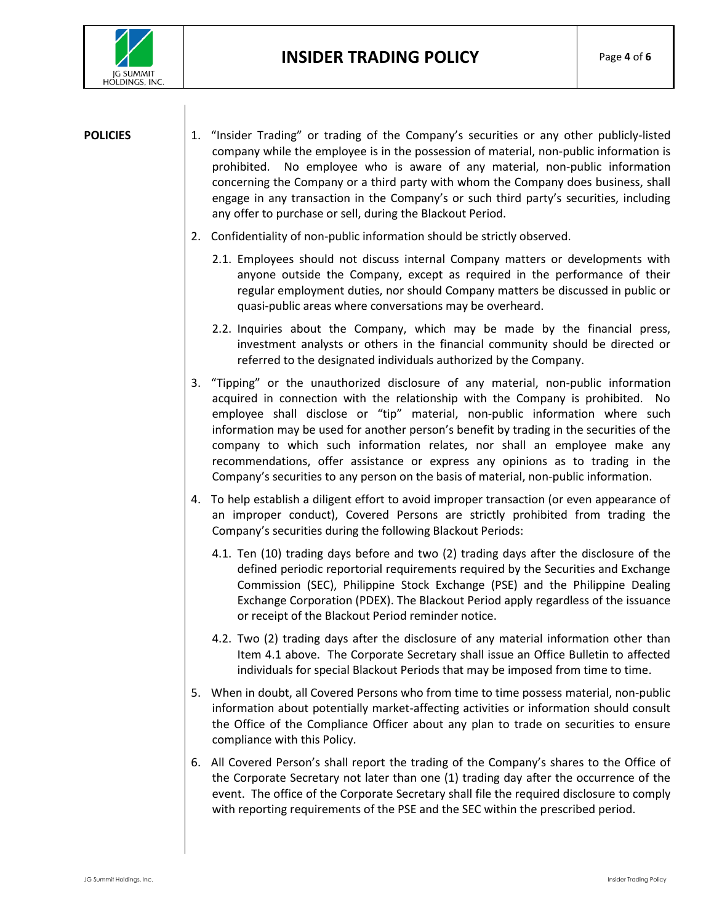

- **POLICIES** 1. "Insider Trading" or trading of the Company's securities or any other publicly-listed company while the employee is in the possession of material, non-public information is prohibited. No employee who is aware of any material, non-public information concerning the Company or a third party with whom the Company does business, shall engage in any transaction in the Company's or such third party's securities, including any offer to purchase or sell, during the Blackout Period.
	- 2. Confidentiality of non-public information should be strictly observed.
		- 2.1. Employees should not discuss internal Company matters or developments with anyone outside the Company, except as required in the performance of their regular employment duties, nor should Company matters be discussed in public or quasi-public areas where conversations may be overheard.
		- 2.2. Inquiries about the Company, which may be made by the financial press, investment analysts or others in the financial community should be directed or referred to the designated individuals authorized by the Company.
	- 3. "Tipping" or the unauthorized disclosure of any material, non-public information acquired in connection with the relationship with the Company is prohibited. No employee shall disclose or "tip" material, non-public information where such information may be used for another person's benefit by trading in the securities of the company to which such information relates, nor shall an employee make any recommendations, offer assistance or express any opinions as to trading in the Company's securities to any person on the basis of material, non-public information.
	- 4. To help establish a diligent effort to avoid improper transaction (or even appearance of an improper conduct), Covered Persons are strictly prohibited from trading the Company's securities during the following Blackout Periods:
		- 4.1. Ten (10) trading days before and two (2) trading days after the disclosure of the defined periodic reportorial requirements required by the Securities and Exchange Commission (SEC), Philippine Stock Exchange (PSE) and the Philippine Dealing Exchange Corporation (PDEX). The Blackout Period apply regardless of the issuance or receipt of the Blackout Period reminder notice.
		- 4.2. Two (2) trading days after the disclosure of any material information other than Item 4.1 above. The Corporate Secretary shall issue an Office Bulletin to affected individuals for special Blackout Periods that may be imposed from time to time.
	- 5. When in doubt, all Covered Persons who from time to time possess material, non-public information about potentially market-affecting activities or information should consult the Office of the Compliance Officer about any plan to trade on securities to ensure compliance with this Policy.
	- 6. All Covered Person's shall report the trading of the Company's shares to the Office of the Corporate Secretary not later than one (1) trading day after the occurrence of the event. The office of the Corporate Secretary shall file the required disclosure to comply with reporting requirements of the PSE and the SEC within the prescribed period.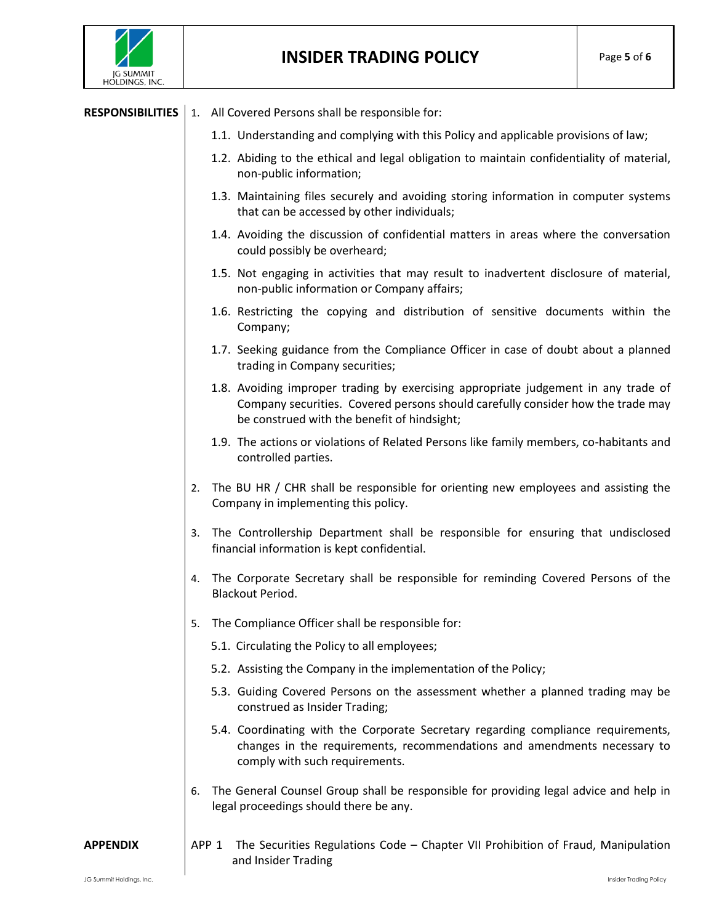

## **INSIDER TRADING POLICY** Page **<sup>5</sup>** of **<sup>6</sup>**

## **RESPONSIBILITIES** | 1. All Covered Persons shall be responsible for:

- 1.1. Understanding and complying with this Policy and applicable provisions of law;
- 1.2. Abiding to the ethical and legal obligation to maintain confidentiality of material, non-public information;
- 1.3. Maintaining files securely and avoiding storing information in computer systems that can be accessed by other individuals;
- 1.4. Avoiding the discussion of confidential matters in areas where the conversation could possibly be overheard;
- 1.5. Not engaging in activities that may result to inadvertent disclosure of material, non-public information or Company affairs;
- 1.6. Restricting the copying and distribution of sensitive documents within the Company;
- 1.7. Seeking guidance from the Compliance Officer in case of doubt about a planned trading in Company securities;
- 1.8. Avoiding improper trading by exercising appropriate judgement in any trade of Company securities. Covered persons should carefully consider how the trade may be construed with the benefit of hindsight;
- 1.9. The actions or violations of Related Persons like family members, co-habitants and controlled parties.
- 2. The BU HR / CHR shall be responsible for orienting new employees and assisting the Company in implementing this policy.
- 3. The Controllership Department shall be responsible for ensuring that undisclosed financial information is kept confidential.
- 4. The Corporate Secretary shall be responsible for reminding Covered Persons of the Blackout Period.
- 5. The Compliance Officer shall be responsible for:
	- 5.1. Circulating the Policy to all employees;
	- 5.2. Assisting the Company in the implementation of the Policy;
	- 5.3. Guiding Covered Persons on the assessment whether a planned trading may be construed as Insider Trading;
	- 5.4. Coordinating with the Corporate Secretary regarding compliance requirements, changes in the requirements, recommendations and amendments necessary to comply with such requirements.
- 6. The General Counsel Group shall be responsible for providing legal advice and help in legal proceedings should there be any.

**APPENDIX** APP 1 The Securities Regulations Code – Chapter VII Prohibition of Fraud, Manipulation and Insider Trading